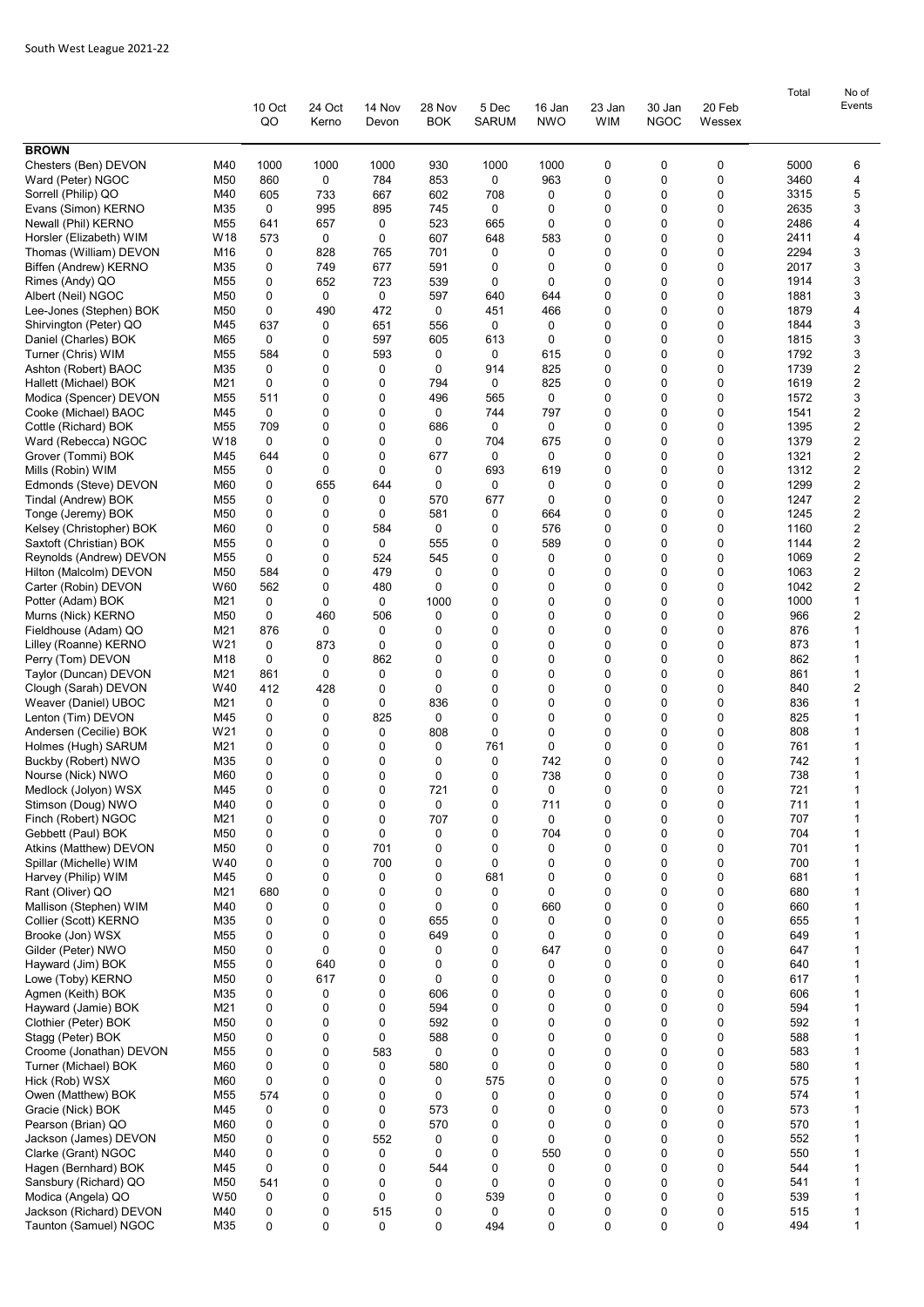|                                                    |                        | 10 Oct<br>QO | 24 Oct<br>Kerno  | 14 Nov<br>Devon | 28 Nov<br><b>BOK</b> | 5 Dec<br><b>SARUM</b> | 16 Jan<br><b>NWO</b> | 23 Jan<br><b>WIM</b> | 30 Jan<br><b>NGOC</b> | 20 Feb<br>Wessex | Total        | No of<br>Events   |
|----------------------------------------------------|------------------------|--------------|------------------|-----------------|----------------------|-----------------------|----------------------|----------------------|-----------------------|------------------|--------------|-------------------|
| <b>BROWN</b>                                       |                        |              |                  |                 |                      |                       |                      |                      |                       |                  |              |                   |
| Chesters (Ben) DEVON                               | M40                    | 1000         | 1000             | 1000            | 930                  | 1000                  | 1000                 | 0                    | 0                     | 0                | 5000         | 6                 |
| Ward (Peter) NGOC                                  | M50                    | 860          | $\mathbf 0$      | 784             | 853                  | 0                     | 963                  | 0                    | 0                     | 0                | 3460         | 4                 |
| Sorrell (Philip) QO<br>Evans (Simon) KERNO         | M40<br>M35             | 605<br>0     | 733<br>995       | 667<br>895      | 602<br>745           | 708<br>0              | 0<br>0               | 0<br>0               | 0<br>0                | 0<br>0           | 3315<br>2635 | 5<br>3            |
| Newall (Phil) KERNO                                | M55                    | 641          | 657              | 0               | 523                  | 665                   | 0                    | 0                    | 0                     | 0                | 2486         | 4                 |
| Horsler (Elizabeth) WIM                            | W18                    | 573          | 0                | 0               | 607                  | 648                   | 583                  | 0                    | 0                     | 0                | 2411         | 4                 |
| Thomas (William) DEVON                             | M16                    | 0            | 828              | 765             | 701                  | 0                     | 0                    | 0                    | $\Omega$              | 0                | 2294         | 3                 |
| Biffen (Andrew) KERNO                              | M35                    | 0            | 749              | 677             | 591                  | 0                     | 0                    | 0                    | $\Omega$              | 0                | 2017         | 3                 |
| Rimes (Andy) QO                                    | M55                    | 0            | 652              | 723             | 539                  | 0                     | 0                    | 0                    | $\Omega$              | 0                | 1914         | 3                 |
| Albert (Neil) NGOC                                 | M50                    | 0            | 0                | 0               | 597                  | 640                   | 644                  | 0                    | 0                     | 0                | 1881         | 3                 |
| Lee-Jones (Stephen) BOK<br>Shirvington (Peter) QO  | M50<br>M45             | 0<br>637     | 490<br>0         | 472<br>651      | 0<br>556             | 451<br>0              | 466<br>0             | 0<br>0               | 0<br>0                | 0<br>0           | 1879<br>1844 | 4<br>3            |
| Daniel (Charles) BOK                               | M65                    | 0            | 0                | 597             | 605                  | 613                   | 0                    | 0                    | 0                     | 0                | 1815         | 3                 |
| Turner (Chris) WIM                                 | M55                    | 584          | 0                | 593             | 0                    | 0                     | 615                  | 0                    | 0                     | 0                | 1792         | 3                 |
| Ashton (Robert) BAOC                               | M35                    | 0            | 0                | 0               | 0                    | 914                   | 825                  | 0                    | 0                     | 0                | 1739         | 2                 |
| Hallett (Michael) BOK                              | M21                    | 0            | 0                | 0               | 794                  | $\mathbf 0$           | 825                  | 0                    | $\Omega$              | 0                | 1619         | $\overline{c}$    |
| Modica (Spencer) DEVON                             | M55                    | 511          | 0                | 0               | 496                  | 565                   | 0                    | 0                    | $\Omega$              | 0                | 1572         | 3                 |
| Cooke (Michael) BAOC                               | M45                    | 0            | 0                | 0<br>0          | 0                    | 744                   | 797<br>0             | 0<br>0               | 0<br>0                | 0<br>0           | 1541<br>1395 | 2                 |
| Cottle (Richard) BOK<br>Ward (Rebecca) NGOC        | M <sub>55</sub><br>W18 | 709<br>0     | 0<br>0           | 0               | 686<br>0             | 0<br>704              | 675                  | 0                    | 0                     | 0                | 1379         | 2<br>2            |
| Grover (Tommi) BOK                                 | M45                    | 644          | 0                | 0               | 677                  | 0                     | 0                    | 0                    | 0                     | 0                | 1321         | $\overline{c}$    |
| Mills (Robin) WIM                                  | M55                    | 0            | 0                | 0               | 0                    | 693                   | 619                  | 0                    | 0                     | 0                | 1312         | $\overline{2}$    |
| Edmonds (Steve) DEVON                              | M60                    | 0            | 655              | 644             | 0                    | 0                     | 0                    | 0                    | 0                     | 0                | 1299         | 2                 |
| Tindal (Andrew) BOK                                | M55                    | 0            | 0                | 0               | 570                  | 677                   | 0                    | 0                    | $\Omega$              | 0                | 1247         | 2                 |
| Tonge (Jeremy) BOK                                 | M50                    | 0            | 0                | 0               | 581                  | 0                     | 664                  | 0                    | $\Omega$              | 0                | 1245         | $\overline{c}$    |
| Kelsey (Christopher) BOK                           | M60                    | 0            | 0                | 584             | 0                    | 0                     | 576                  | 0                    | 0                     | 0                | 1160         | 2                 |
| Saxtoft (Christian) BOK<br>Reynolds (Andrew) DEVON | M55<br>M <sub>55</sub> | 0<br>0       | 0<br>0           | 0<br>524        | 555<br>545           | 0<br>$\mathbf 0$      | 589<br>0             | 0<br>0               | 0<br>0                | 0<br>0           | 1144<br>1069 | 2<br>2            |
| Hilton (Malcolm) DEVON                             | M50                    | 584          | 0                | 479             | 0                    | 0                     | 0                    | 0                    | 0                     | $\mathbf 0$      | 1063         | 2                 |
| Carter (Robin) DEVON                               | W60                    | 562          | 0                | 480             | 0                    | 0                     | 0                    | 0                    | 0                     | 0                | 1042         | $\overline{2}$    |
| Potter (Adam) BOK                                  | M21                    | 0            | 0                | 0               | 1000                 | 0                     | 0                    | 0                    | 0                     | 0                | 1000         | $\mathbf{1}$      |
| Murns (Nick) KERNO                                 | M50                    | 0            | 460              | 506             | 0                    | $\mathbf 0$           | 0                    | 0                    | $\Omega$              | 0                | 966          | 2                 |
| Fieldhouse (Adam) QO                               | M21                    | 876          | 0                | 0               | 0                    | $\mathbf 0$           | 0                    | 0                    | $\Omega$              | 0                | 876          | 1                 |
| Lilley (Roanne) KERNO                              | W21                    | 0            | 873              | 0               | 0                    | $\mathbf 0$           | 0                    | 0                    | 0                     | 0                | 873          | 1                 |
| Perry (Tom) DEVON<br>Taylor (Duncan) DEVON         | M18<br>M21             | 0<br>861     | 0<br>0           | 862<br>0        | 0<br>0               | 0<br>$\mathbf 0$      | 0<br>0               | 0<br>0               | 0<br>0                | 0<br>0           | 862<br>861   | 1<br>1            |
| Clough (Sarah) DEVON                               | W40                    | 412          | 428              | 0               | 0                    | $\mathbf 0$           | 0                    | 0                    | 0                     | 0                | 840          | 2                 |
| Weaver (Daniel) UBOC                               | M21                    | 0            | 0                | 0               | 836                  | $\mathbf 0$           | 0                    | 0                    | 0                     | 0                | 836          | $\mathbf{1}$      |
| Lenton (Tim) DEVON                                 | M45                    | 0            | 0                | 825             | 0                    | 0                     | 0                    | 0                    | 0                     | 0                | 825          | $\mathbf{1}$      |
| Andersen (Cecilie) BOK                             | W21                    | 0            | 0                | 0               | 808                  | 0                     | 0                    | 0                    | 0                     | 0                | 808          | 1                 |
| Holmes (Hugh) SARUM                                | M21                    | 0            | 0                | 0               | 0                    | 761                   | 0                    | 0                    | $\Omega$              | 0                | 761          | 1                 |
| Buckby (Robert) NWO<br>Nourse (Nick) NWO           | M35<br>M60             | 0<br>0       | 0<br>0           | 0<br>0          | 0<br>0               | $\mathbf 0$<br>0      | 742<br>738           | 0<br>0               | $\Omega$<br>0         | 0<br>0           | 742<br>738   | 1<br>1            |
| Medlock (Jolyon) WSX                               | M45                    | 0            | 0                | 0               | 721                  | 0                     | 0                    | 0                    | 0                     | 0                | 721          | 1                 |
| Stimson (Doug) NWO                                 | M40                    | 0            | 0                | 0               | 0                    | 0                     | 711                  | 0                    | 0                     | $\mathbf 0$      | 711          | 1                 |
| Finch (Robert) NGOC                                | M21                    | 0            | 0                | 0               | 707                  | 0                     | 0                    | 0                    | 0                     | $\mathbf 0$      | 707          | 1                 |
| Gebbett (Paul) BOK                                 | M50                    | 0            | 0                | 0               | 0                    | 0                     | 704                  | 0                    | 0                     | 0                | 704          | 1                 |
| Atkins (Matthew) DEVON                             | M50                    | 0            | 0                | 701             | 0                    | $\mathbf 0$           | 0                    | 0                    | 0                     | 0                | 701          | $\mathbf{1}$      |
| Spillar (Michelle) WIM<br>Harvey (Philip) WIM      | W40                    | 0<br>0       | $\mathbf 0$<br>0 | 700<br>0        | 0<br>0               | $\mathbf 0$<br>681    | 0<br>0               | 0<br>0               | 0<br>0                | $\mathbf 0$<br>0 | 700<br>681   | 1<br>1            |
| Rant (Oliver) QO                                   | M45<br>M21             | 680          | 0                | 0               | 0                    | 0                     | 0                    | 0                    | 0                     | 0                | 680          | 1                 |
| Mallison (Stephen) WIM                             | M40                    | 0            | 0                | 0               | 0                    | 0                     | 660                  | 0                    | 0                     | 0                | 660          | $\mathbf{1}$      |
| Collier (Scott) KERNO                              | M35                    | 0            | 0                | 0               | 655                  | 0                     | 0                    | 0                    | 0                     | $\mathbf 0$      | 655          | 1                 |
| Brooke (Jon) WSX                                   | M55                    | 0            | 0                | 0               | 649                  | 0                     | 0                    | 0                    | 0                     | 0                | 649          | 1                 |
| Gilder (Peter) NWO                                 | M50                    | 0            | 0                | 0               | 0                    | 0                     | 647                  | 0                    | 0                     | 0                | 647          | $\mathbf{1}$      |
| Hayward (Jim) BOK                                  | M55                    | 0            | 640              | 0               | 0                    | 0                     | 0                    | 0<br>0               | 0<br>0                | 0                | 640          | 1                 |
| Lowe (Toby) KERNO<br>Agmen (Keith) BOK             | M50<br>M35             | 0<br>0       | 617<br>0         | 0<br>0          | 0<br>606             | 0<br>0                | 0<br>0               | 0                    | 0                     | 0<br>$\mathbf 0$ | 617<br>606   | 1<br>1            |
| Hayward (Jamie) BOK                                | M21                    | 0            | 0                | 0               | 594                  | 0                     | 0                    | 0                    | 0                     | 0                | 594          | 1                 |
| Clothier (Peter) BOK                               | M50                    | 0            | 0                | 0               | 592                  | 0                     | 0                    | 0                    | 0                     | 0                | 592          | 1                 |
| Stagg (Peter) BOK                                  | M50                    | 0            | 0                | 0               | 588                  | 0                     | 0                    | 0                    | 0                     | $\mathbf 0$      | 588          | $\mathbf{1}$      |
| Croome (Jonathan) DEVON                            | M <sub>55</sub>        | 0            | 0                | 583             | 0                    | 0                     | 0                    | 0                    | 0                     | 0                | 583          | 1                 |
| Turner (Michael) BOK                               | M60                    | 0            | 0                | 0               | 580                  | $\mathbf 0$           | 0                    | 0                    | 0                     | 0                | 580          | 1                 |
| Hick (Rob) WSX<br>Owen (Matthew) BOK               | M60<br>M55             | 0            | 0<br>0           | 0<br>0          | 0<br>$\mathbf 0$     | 575                   | 0<br>0               | 0<br>0               | 0<br>0                | 0<br>$\mathbf 0$ | 575<br>574   | 1<br>$\mathbf{1}$ |
| Gracie (Nick) BOK                                  | M45                    | 574<br>0     | 0                | 0               | 573                  | 0<br>0                | 0                    | 0                    | 0                     | 0                | 573          | $\mathbf{1}$      |
| Pearson (Brian) QO                                 | M60                    | 0            | 0                | 0               | 570                  | 0                     | 0                    | 0                    | 0                     | 0                | 570          | 1                 |
| Jackson (James) DEVON                              | M50                    | 0            | 0                | 552             | 0                    | 0                     | 0                    | 0                    | 0                     | 0                | 552          | 1                 |
| Clarke (Grant) NGOC                                | M40                    | 0            | 0                | 0               | $\mathbf 0$          | 0                     | 550                  | 0                    | 0                     | $\mathbf 0$      | 550          | $\mathbf{1}$      |
| Hagen (Bernhard) BOK                               | M45                    | 0            | 0                | 0               | 544                  | 0                     | 0                    | 0                    | 0                     | 0                | 544          | $\mathbf{1}$      |
| Sansbury (Richard) QO                              | M50                    | 541          | 0                | 0               | 0                    | $\mathbf 0$           | 0                    | 0                    | 0                     | 0                | 541          | $\mathbf{1}$      |
| Modica (Angela) QO<br>Jackson (Richard) DEVON      | W50<br>M40             | 0<br>0       | 0<br>0           | 0<br>515        | 0<br>0               | 539<br>$\mathbf 0$    | 0<br>0               | 0<br>0               | 0<br>0                | 0<br>0           | 539<br>515   | 1<br>1            |
| Taunton (Samuel) NGOC                              | M35                    | 0            | 0                | 0               | 0                    | 494                   | 0                    | 0                    | $\Omega$              | 0                | 494          | $\mathbf{1}$      |
|                                                    |                        |              |                  |                 |                      |                       |                      |                      |                       |                  |              |                   |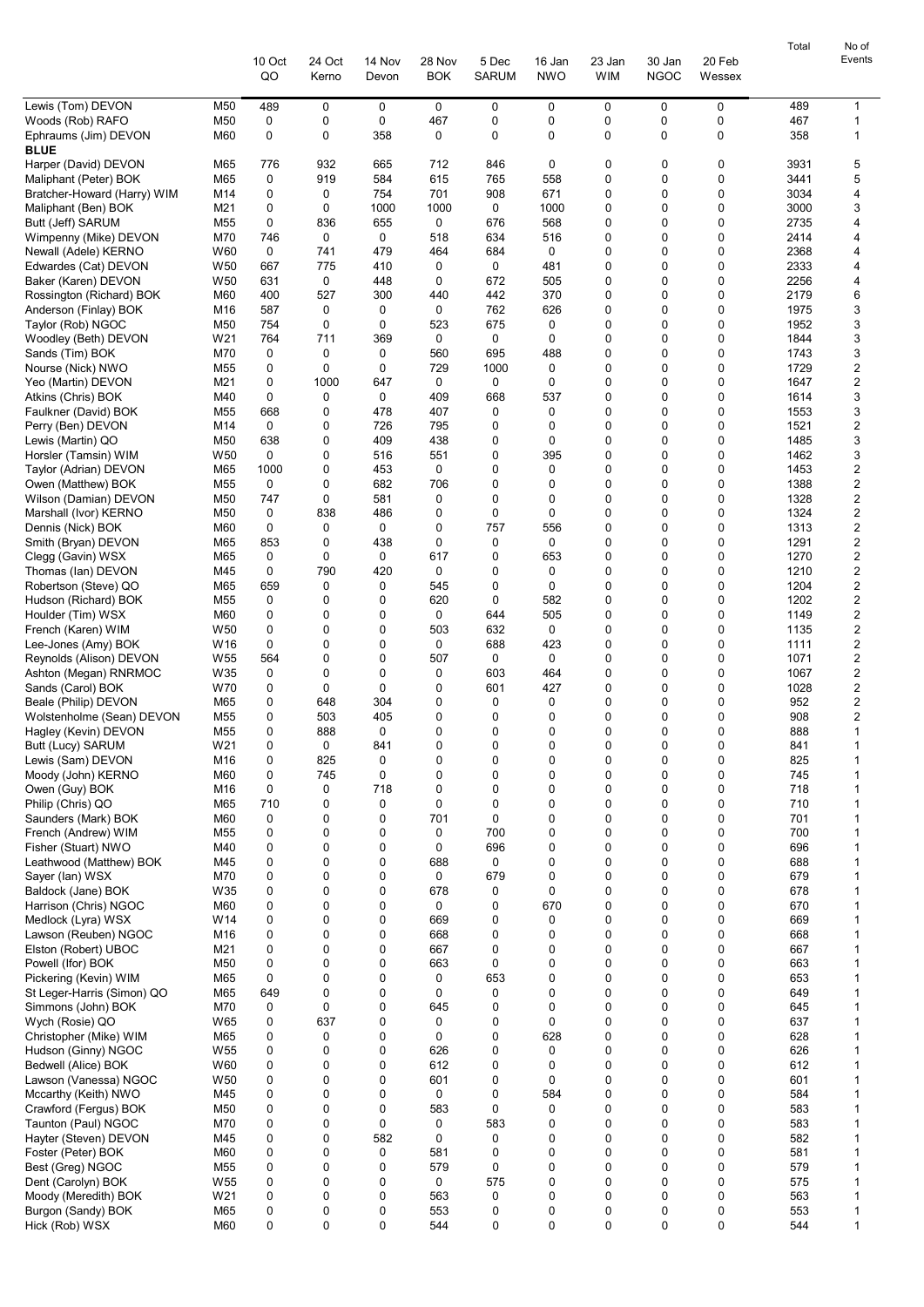|                                                     |                        | 10 Oct       | 24 Oct     | 14 Nov       | 28 Nov       | 5 Dec        | 16 Jan      | 23 Jan           | 30 Jan       | 20 Feb                   | Total        | No of<br>Events   |
|-----------------------------------------------------|------------------------|--------------|------------|--------------|--------------|--------------|-------------|------------------|--------------|--------------------------|--------------|-------------------|
|                                                     |                        | QO           | Kerno      | Devon        | <b>BOK</b>   | <b>SARUM</b> | <b>NWO</b>  | WIM              | <b>NGOC</b>  | Wessex                   |              |                   |
| Lewis (Tom) DEVON                                   | M50                    | 489          | 0          | 0            | 0            | 0            | 0           | 0                | 0            | 0                        | 489          | 1                 |
| Woods (Rob) RAFO<br>Ephraums (Jim) DEVON            | M50<br>M60             | 0<br>0       | 0<br>0     | 0<br>358     | 467<br>0     | 0<br>0       | 0<br>0      | 0<br>0           | 0<br>0       | $\pmb{0}$<br>$\mathbf 0$ | 467<br>358   | $\mathbf{1}$<br>1 |
| <b>BLUE</b><br>Harper (David) DEVON                 | M65                    | 776          | 932        | 665          | 712          | 846          | 0           | 0                | 0            | 0                        | 3931         | 5                 |
| Maliphant (Peter) BOK                               | M65                    | 0            | 919        | 584          | 615          | 765          | 558         | 0                | 0            | 0                        | 3441         | 5                 |
| Bratcher-Howard (Harry) WIM                         | M14                    | 0            | 0          | 754          | 701          | 908          | 671         | 0                | 0            | 0                        | 3034         | 4                 |
| Maliphant (Ben) BOK                                 | M21<br>M55             | 0<br>0       | 0<br>836   | 1000<br>655  | 1000<br>0    | 0<br>676     | 1000<br>568 | 0<br>0           | 0<br>0       | 0<br>0                   | 3000<br>2735 | 3<br>4            |
| Butt (Jeff) SARUM<br>Wimpenny (Mike) DEVON          | M70                    | 746          | 0          | 0            | 518          | 634          | 516         | 0                | 0            | 0                        | 2414         | 4                 |
| Newall (Adele) KERNO                                | W60                    | 0            | 741        | 479          | 464          | 684          | 0           | 0                | 0            | 0                        | 2368         | 4                 |
| Edwardes (Cat) DEVON                                | W <sub>50</sub>        | 667          | 775        | 410          | 0            | 0            | 481         | 0                | 0            | 0                        | 2333         | 4                 |
| Baker (Karen) DEVON                                 | W <sub>50</sub><br>M60 | 631<br>400   | 0<br>527   | 448<br>300   | 0<br>440     | 672<br>442   | 505<br>370  | 0<br>$\mathbf 0$ | 0<br>0       | 0<br>0                   | 2256<br>2179 | 4<br>6            |
| Rossington (Richard) BOK<br>Anderson (Finlay) BOK   | M16                    | 587          | 0          | 0            | 0            | 762          | 626         | 0                | 0            | 0                        | 1975         | 3                 |
| Taylor (Rob) NGOC                                   | M50                    | 754          | 0          | 0            | 523          | 675          | 0           | 0                | 0            | 0                        | 1952         | 3                 |
| Woodley (Beth) DEVON                                | W21                    | 764          | 711        | 369          | 0            | 0            | 0           | 0                | 0            | 0                        | 1844         | 3                 |
| Sands (Tim) BOK<br>Nourse (Nick) NWO                | M70<br>M55             | 0<br>0       | 0<br>0     | 0<br>0       | 560<br>729   | 695<br>1000  | 488<br>0    | 0<br>0           | 0<br>0       | 0<br>0                   | 1743<br>1729 | 3<br>2            |
| Yeo (Martin) DEVON                                  | M21                    | 0            | 1000       | 647          | 0            | 0            | 0           | 0                | 0            | 0                        | 1647         | 2                 |
| Atkins (Chris) BOK                                  | M40                    | 0            | 0          | 0            | 409          | 668          | 537         | 0                | 0            | 0                        | 1614         | 3                 |
| Faulkner (David) BOK                                | M55                    | 668          | 0          | 478          | 407          | 0            | 0           | 0                | $\mathbf 0$  | 0                        | 1553         | 3                 |
| Perry (Ben) DEVON<br>Lewis (Martin) QO              | M14<br>M50             | 0<br>638     | 0<br>0     | 726<br>409   | 795<br>438   | 0<br>0       | 0<br>0      | 0<br>$\mathbf 0$ | 0<br>0       | 0<br>0                   | 1521<br>1485 | 2<br>3            |
| Horsler (Tamsin) WIM                                | W <sub>50</sub>        | 0            | 0          | 516          | 551          | 0            | 395         | 0                | 0            | 0                        | 1462         | 3                 |
| Taylor (Adrian) DEVON                               | M65                    | 1000         | 0          | 453          | 0            | 0            | 0           | 0                | 0            | 0                        | 1453         | 2                 |
| Owen (Matthew) BOK                                  | M55                    | $\mathbf 0$  | 0          | 682          | 706          | 0            | 0           | 0                | 0            | 0                        | 1388         | 2                 |
| Wilson (Damian) DEVON<br>Marshall (Ivor) KERNO      | M50<br>M50             | 747<br>0     | 0<br>838   | 581<br>486   | 0<br>0       | 0<br>0       | 0<br>0      | 0<br>0           | 0<br>0       | 0<br>0                   | 1328<br>1324 | 2<br>2            |
| Dennis (Nick) BOK                                   | M60                    | 0            | 0          | 0            | 0            | 757          | 556         | 0                | 0            | 0                        | 1313         | 2                 |
| Smith (Bryan) DEVON                                 | M65                    | 853          | 0          | 438          | 0            | 0            | 0           | 0                | 0            | 0                        | 1291         | 2                 |
| Clegg (Gavin) WSX                                   | M65                    | 0            | 0          | 0            | 617          | 0            | 653         | 0                | 0            | 0                        | 1270         | $\overline{c}$    |
| Thomas (lan) DEVON<br>Robertson (Steve) QO          | M45<br>M65             | 0<br>659     | 790<br>0   | 420<br>0     | 0<br>545     | 0<br>0       | 0<br>0      | 0<br>0           | 0<br>0       | 0<br>0                   | 1210<br>1204 | 2<br>2            |
| Hudson (Richard) BOK                                | M55                    | 0            | 0          | 0            | 620          | 0            | 582         | 0                | 0            | 0                        | 1202         | 2                 |
| Houlder (Tim) WSX                                   | M60                    | 0            | 0          | 0            | 0            | 644          | 505         | 0                | 0            | 0                        | 1149         | 2                 |
| French (Karen) WIM                                  | W <sub>50</sub><br>W16 | 0<br>0       | 0<br>0     | 0<br>0       | 503<br>0     | 632<br>688   | 0<br>423    | $\mathbf 0$<br>0 | 0<br>0       | 0<br>0                   | 1135<br>1111 | 2<br>2            |
| Lee-Jones (Amy) BOK<br>Reynolds (Alison) DEVON      | W <sub>55</sub>        | 564          | 0          | 0            | 507          | 0            | 0           | 0                | 0            | 0                        | 1071         | 2                 |
| Ashton (Megan) RNRMOC                               | W35                    | 0            | 0          | 0            | 0            | 603          | 464         | 0                | 0            | 0                        | 1067         | $\overline{c}$    |
| Sands (Carol) BOK                                   | W70                    | 0            | 0          | 0            | 0            | 601          | 427         | 0                | 0            | 0                        | 1028         | 2                 |
| Beale (Philip) DEVON<br>Wolstenholme (Sean) DEVON   | M65<br>M55             | 0<br>0       | 648<br>503 | 304<br>405   | 0<br>0       | 0<br>0       | 0<br>0      | 0<br>0           | 0<br>0       | 0<br>0                   | 952<br>908   | 2<br>2            |
| Hagley (Kevin) DEVON                                | M55                    | <sup>0</sup> | 888        | <sup>0</sup> | <sup>0</sup> | $\Omega$     | $\Omega$    | $\Omega$         | <sup>0</sup> | U                        | 888          | $\mathbf{1}$      |
| Butt (Lucy) SARUM                                   | W21                    | 0            | 0          | 841          | 0            | 0            | 0           | 0                | 0            | 0                        | 841          |                   |
| Lewis (Sam) DEVON                                   | M16                    | 0            | 825        | 0            | 0            | 0            | 0           | 0                | 0            | 0                        | 825          | 1                 |
| Moody (John) KERNO<br>Owen (Guy) BOK                | M60<br>M16             | 0<br>0       | 745<br>0   | 0<br>718     | 0<br>0       | 0<br>0       | 0<br>0      | $\Omega$<br>0    | 0<br>0       | 0<br>0                   | 745<br>718   | 1<br>1            |
| Philip (Chris) QO                                   | M65                    | 710          | 0          | 0            | 0            | 0            | 0           | 0                | 0            | 0                        | 710          | 1                 |
| Saunders (Mark) BOK                                 | M60                    | 0            | 0          | 0            | 701          | 0            | 0           | 0                | 0            | 0                        | 701          | 1                 |
| French (Andrew) WIM<br>Fisher (Stuart) NWO          | M55<br>M40             | 0<br>0       | 0<br>0     | 0<br>0       | 0<br>0       | 700<br>696   | 0<br>0      | 0<br>0           | 0<br>0       | 0<br>0                   | 700<br>696   | 1<br>1            |
| Leathwood (Matthew) BOK                             | M45                    | 0            | 0          | 0            | 688          | 0            | 0           | 0                | 0            | 0                        | 688          | 1                 |
| Sayer (lan) WSX                                     | M70                    | 0            | 0          | 0            | 0            | 679          | 0           | $\Omega$         | 0            | 0                        | 679          | 1                 |
| Baldock (Jane) BOK                                  | W35                    | 0            | 0          | 0            | 678          | 0            | 0           | 0                | 0            | 0                        | 678          | 1                 |
| Harrison (Chris) NGOC<br>Medlock (Lyra) WSX         | M60<br>W14             | 0<br>0       | 0<br>0     | 0<br>0       | 0<br>669     | 0<br>0       | 670<br>0    | $\Omega$<br>0    | 0<br>0       | 0<br>0                   | 670<br>669   | 1<br>1            |
| Lawson (Reuben) NGOC                                | M16                    | 0            | 0          | 0            | 668          | 0            | 0           | $\Omega$         | 0            | 0                        | 668          | 1                 |
| Elston (Robert) UBOC                                | M21                    | 0            | 0          | 0            | 667          | 0            | 0           | 0                | 0            | 0                        | 667          | 1                 |
| Powell (Ifor) BOK                                   | M50                    | 0<br>0       | 0<br>0     | 0<br>0       | 663<br>0     | 0<br>653     | 0<br>0      | 0<br>$\mathbf 0$ | 0<br>0       | 0<br>0                   | 663          | 1<br>1            |
| Pickering (Kevin) WIM<br>St Leger-Harris (Simon) QO | M65<br>M65             | 649          | 0          | 0            | 0            | 0            | 0           | 0                | 0            | 0                        | 653<br>649   | 1                 |
| Simmons (John) BOK                                  | M70                    | 0            | 0          | 0            | 645          | 0            | 0           | 0                | 0            | 0                        | 645          | 1                 |
| Wych (Rosie) QO                                     | W65                    | 0            | 637        | 0            | 0            | 0            | 0           | 0                | 0            | 0                        | 637          | $\mathbf{1}$      |
| Christopher (Mike) WIM<br>Hudson (Ginny) NGOC       | M65<br>W <sub>55</sub> | 0<br>0       | 0<br>0     | 0<br>0       | 0<br>626     | 0<br>0       | 628<br>0    | 0<br>0           | 0<br>0       | 0<br>0                   | 628<br>626   | 1<br>1            |
| Bedwell (Alice) BOK                                 | W60                    | 0            | 0          | 0            | 612          | 0            | 0           | 0                | 0            | 0                        | 612          | $\mathbf{1}$      |
| Lawson (Vanessa) NGOC                               | W50                    | 0            | 0          | 0            | 601          | 0            | $\mathbf 0$ | 0                | $\mathbf 0$  | 0                        | 601          | 1                 |
| Mccarthy (Keith) NWO                                | M45                    | 0            | 0          | 0            | 0            | 0            | 584         | $\mathbf 0$      | 0            | 0                        | 584          | 1                 |
| Crawford (Fergus) BOK<br>Taunton (Paul) NGOC        | M50<br>M70             | 0<br>0       | 0<br>0     | 0<br>0       | 583<br>0     | 0<br>583     | 0<br>0      | 0<br>0           | 0<br>0       | 0<br>0                   | 583<br>583   | 1<br>1            |
| Hayter (Steven) DEVON                               | M45                    | 0            | 0          | 582          | 0            | 0            | 0           | $\Omega$         | 0            | 0                        | 582          | 1                 |
| Foster (Peter) BOK                                  | M60                    | 0            | 0          | 0            | 581          | 0            | 0           | 0                | 0            | 0                        | 581          | 1                 |
| Best (Greg) NGOC                                    | M55                    | 0            | 0          | 0            | 579          | 0            | 0           | 0                | 0            | 0                        | 579          | 1                 |
| Dent (Carolyn) BOK<br>Moody (Meredith) BOK          | W <sub>55</sub><br>W21 | 0<br>0       | 0<br>0     | 0<br>0       | 0<br>563     | 575<br>0     | 0<br>0      | 0<br>0           | 0<br>0       | 0<br>0                   | 575<br>563   | 1<br>1            |
| Burgon (Sandy) BOK                                  | M65                    | 0            | 0          | 0            | 553          | 0            | 0           | 0                | 0            | 0                        | 553          | 1                 |
| Hick (Rob) WSX                                      | M60                    | 0            | 0          | 0            | 544          | 0            | 0           | 0                | 0            | 0                        | 544          | 1                 |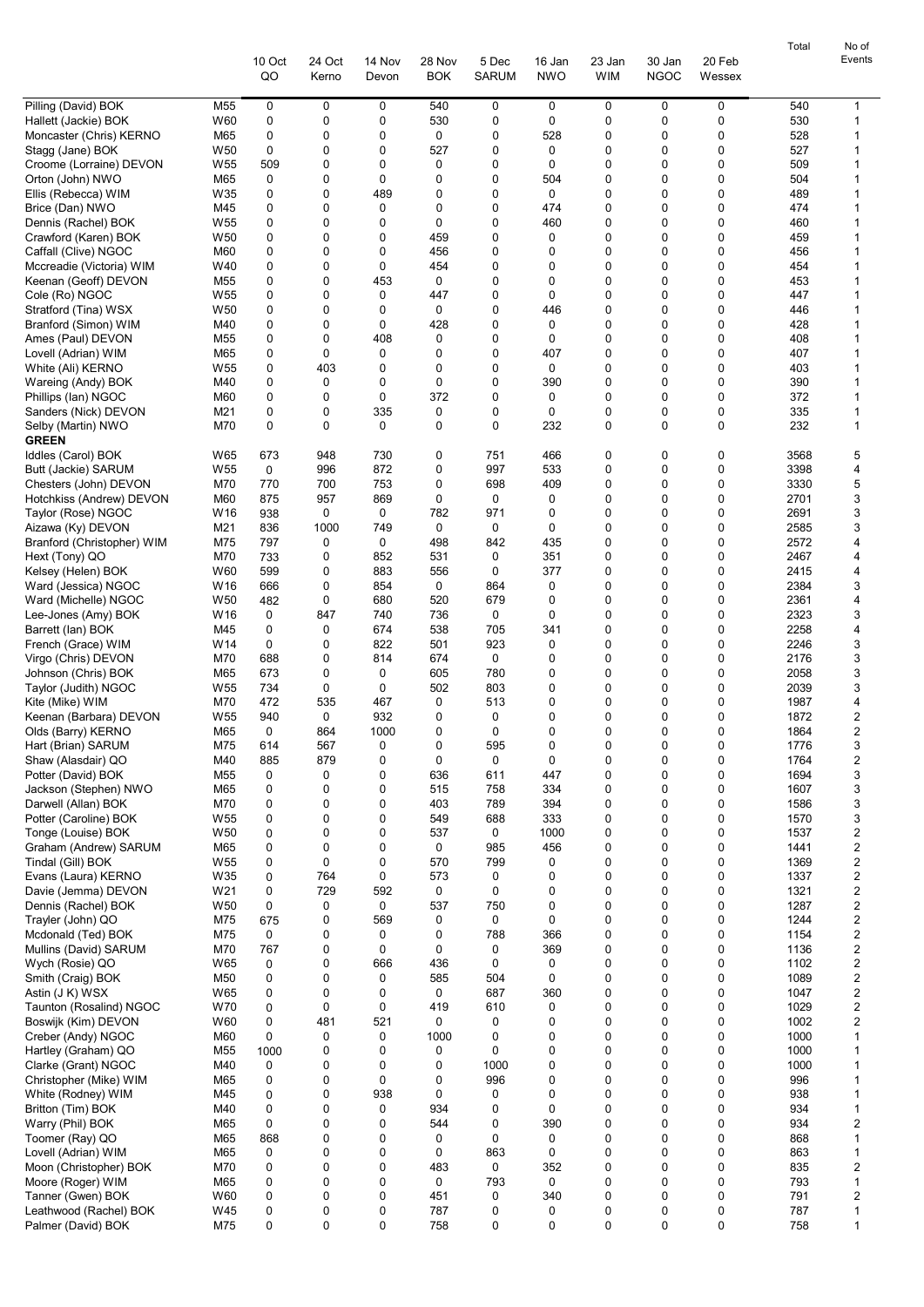|                                                  |                        |            |            |               |             |              |            |                            |             |        | Total        | No of                        |
|--------------------------------------------------|------------------------|------------|------------|---------------|-------------|--------------|------------|----------------------------|-------------|--------|--------------|------------------------------|
|                                                  |                        | 10 Oct     | 24 Oct     | 14 Nov        | 28 Nov      | 5 Dec        | 16 Jan     | 23 Jan                     | 30 Jan      | 20 Feb |              | Events                       |
|                                                  |                        | QO         | Kerno      | Devon         | <b>BOK</b>  | <b>SARUM</b> | <b>NWO</b> | <b>WIM</b>                 | <b>NGOC</b> | Wessex |              |                              |
| Pilling (David) BOK                              | M <sub>55</sub>        | 0          | 0          | 0             | 540         | 0            | 0          | 0                          | 0           | 0      | 540          | 1                            |
| Hallett (Jackie) BOK                             | W60                    | 0          | 0          | 0             | 530         | 0            | 0          | $\mathbf 0$                | 0           | 0      | 530          | 1                            |
| Moncaster (Chris) KERNO                          | M65                    | 0          | 0          | 0             | 0           | 0            | 528        | 0                          | 0           | 0      | 528          | 1                            |
| Stagg (Jane) BOK                                 | W50                    | 0          | 0          | 0             | 527         | 0            | 0          | 0                          | 0           | 0      | 527          | 1                            |
| Croome (Lorraine) DEVON<br>Orton (John) NWO      | W <sub>55</sub><br>M65 | 509<br>0   | 0<br>0     | 0<br>$\Omega$ | 0<br>0      | 0<br>0       | 0<br>504   | 0<br>0                     | 0<br>0      | 0<br>0 | 509<br>504   | 1<br>1                       |
| Ellis (Rebecca) WIM                              | W35                    | 0          | 0          | 489           | 0           | 0            | 0          | 0                          | 0           | 0      | 489          | 1                            |
| Brice (Dan) NWO                                  | M45                    | 0          | 0          | 0             | 0           | 0            | 474        | 0                          | 0           | 0      | 474          | 1                            |
| Dennis (Rachel) BOK                              | W <sub>55</sub>        | 0          | 0          | 0             | 0           | 0            | 460        | 0                          | 0           | 0      | 460          | 1                            |
| Crawford (Karen) BOK                             | W <sub>50</sub>        | 0          | 0          | $\mathbf 0$   | 459         | 0            | 0          | 0                          | 0           | 0      | 459          | 1                            |
| Caffall (Clive) NGOC                             | M60                    | 0          | 0          | 0             | 456         | 0            | 0          | $\mathbf 0$                | 0<br>0      | 0      | 456          | 1                            |
| Mccreadie (Victoria) WIM<br>Keenan (Geoff) DEVON | W40<br>M55             | 0<br>0     | 0<br>0     | 0<br>453      | 454<br>0    | 0<br>0       | 0<br>0     | 0<br>0                     | 0           | 0<br>0 | 454<br>453   | 1<br>1                       |
| Cole (Ro) NGOC                                   | W <sub>55</sub>        | 0          | 0          | 0             | 447         | 0            | 0          | 0                          | 0           | 0      | 447          | 1                            |
| Stratford (Tina) WSX                             | W50                    | 0          | 0          | 0             | 0           | 0            | 446        | 0                          | 0           | 0      | 446          | 1                            |
| Branford (Simon) WIM                             | M40                    | 0          | 0          | 0             | 428         | 0            | 0          | 0                          | 0           | 0      | 428          | 1                            |
| Ames (Paul) DEVON                                | M <sub>55</sub>        | 0          | 0          | 408           | 0           | 0            | 0          | 0                          | 0           | 0      | 408          | 1                            |
| Lovell (Adrian) WIM                              | M65<br>W <sub>55</sub> | 0<br>0     | 0<br>403   | 0<br>0        | 0<br>0      | 0<br>0       | 407<br>0   | $\mathbf 0$<br>$\mathbf 0$ | 0<br>0      | 0<br>0 | 407<br>403   | 1<br>1                       |
| White (Ali) KERNO<br>Wareing (Andy) BOK          | M40                    | 0          | 0          | 0             | 0           | 0            | 390        | 0                          | 0           | 0      | 390          | 1                            |
| Phillips (lan) NGOC                              | M60                    | 0          | 0          | 0             | 372         | 0            | 0          | 0                          | 0           | 0      | 372          | 1                            |
| Sanders (Nick) DEVON                             | M21                    | 0          | 0          | 335           | 0           | 0            | 0          | 0                          | 0           | 0      | 335          | 1                            |
| Selby (Martin) NWO                               | M70                    | 0          | 0          | 0             | 0           | 0            | 232        | 0                          | 0           | 0      | 232          | 1                            |
| <b>GREEN</b>                                     |                        |            |            |               |             |              |            |                            |             |        |              |                              |
| Iddles (Carol) BOK                               | W65<br>W <sub>55</sub> | 673        | 948<br>996 | 730<br>872    | 0<br>0      | 751<br>997   | 466<br>533 | 0<br>0                     | 0<br>0      | 0<br>0 | 3568<br>3398 | 5<br>4                       |
| Butt (Jackie) SARUM<br>Chesters (John) DEVON     | M70                    | 0<br>770   | 700        | 753           | 0           | 698          | 409        | 0                          | 0           | 0      | 3330         | 5                            |
| Hotchkiss (Andrew) DEVON                         | M60                    | 875        | 957        | 869           | 0           | 0            | 0          | $\mathbf 0$                | 0           | 0      | 2701         | 3                            |
| Taylor (Rose) NGOC                               | W16                    | 938        | 0          | 0             | 782         | 971          | 0          | 0                          | 0           | 0      | 2691         | 3                            |
| Aizawa (Ky) DEVON                                | M21                    | 836        | 1000       | 749           | 0           | 0            | 0          | 0                          | 0           | 0      | 2585         | 3                            |
| Branford (Christopher) WIM                       | M75                    | 797        | 0          | 0             | 498         | 842          | 435        | 0                          | 0           | 0      | 2572         | 4                            |
| Hext (Tony) QO                                   | M70<br>W60             | 733        | 0<br>0     | 852<br>883    | 531<br>556  | 0<br>0       | 351<br>377 | 0<br>0                     | 0<br>0      | 0<br>0 | 2467<br>2415 | 4<br>4                       |
| Kelsey (Helen) BOK<br>Ward (Jessica) NGOC        | W16                    | 599<br>666 | 0          | 854           | 0           | 864          | 0          | 0                          | 0           | 0      | 2384         | 3                            |
| Ward (Michelle) NGOC                             | W <sub>50</sub>        | 482        | 0          | 680           | 520         | 679          | 0          | $\mathbf 0$                | 0           | 0      | 2361         | 4                            |
| Lee-Jones (Amy) BOK                              | W16                    | 0          | 847        | 740           | 736         | 0            | 0          | $\mathbf 0$                | 0           | 0      | 2323         | 3                            |
| Barrett (lan) BOK                                | M45                    | 0          | 0          | 674           | 538         | 705          | 341        | 0                          | 0           | 0      | 2258         | 4                            |
| French (Grace) WIM                               | W <sub>14</sub>        | 0          | 0          | 822           | 501         | 923          | 0          | 0                          | 0           | 0      | 2246         | 3                            |
| Virgo (Chris) DEVON<br>Johnson (Chris) BOK       | M70<br>M65             | 688<br>673 | 0<br>0     | 814<br>0      | 674<br>605  | 0<br>780     | 0<br>0     | 0<br>0                     | 0<br>0      | 0<br>0 | 2176<br>2058 | 3<br>3                       |
| Taylor (Judith) NGOC                             | W <sub>55</sub>        | 734        | 0          | 0             | 502         | 803          | 0          | 0                          | 0           | 0      | 2039         | 3                            |
| Kite (Mike) WIM                                  | M70                    | 472        | 535        | 467           | 0           | 513          | 0          | 0                          | 0           | 0      | 1987         | 4                            |
| Keenan (Barbara) DEVON                           | W <sub>55</sub>        | 940        | 0          | 932           | 0           | 0            | 0          | $\mathbf 0$                | 0           | 0      | 1872         | 2                            |
| Olds (Barry) KERNO                               | M65                    | 0          | 864        | 1000          | 0           | $\mathbf 0$  | $\Omega$   | $\Omega$                   | $\Omega$    | U      | 1864         | $\overline{2}$               |
| Hart (Brian) SARUM                               | M75                    | 614        | 567        | 0             | 0           | 595          | 0          | 0                          | 0           | 0      | 1776         | 3                            |
| Shaw (Alasdair) QO<br>Potter (David) BOK         | M40<br>M55             | 885<br>0   | 879<br>0   | 0<br>0        | 0<br>636    | 0<br>611     | 0<br>447   | 0<br>0                     | 0<br>0      | 0<br>0 | 1764<br>1694 | 2<br>3                       |
| Jackson (Stephen) NWO                            | M65                    | 0          | 0          | 0             | 515         | 758          | 334        | 0                          | 0           | 0      | 1607         | 3                            |
| Darwell (Allan) BOK                              | M70                    | 0          | 0          | 0             | 403         | 789          | 394        | 0                          | 0           | 0      | 1586         | 3                            |
| Potter (Caroline) BOK                            | W <sub>55</sub>        | 0          | 0          | 0             | 549         | 688          | 333        | 0                          | 0           | 0      | 1570         | 3                            |
| Tonge (Louise) BOK                               | W <sub>50</sub>        | 0          | 0          | 0             | 537         | 0            | 1000       | 0                          | 0           | 0      | 1537         | 2                            |
| Graham (Andrew) SARUM                            | M65                    | 0          | 0<br>0     | 0<br>0        | 0           | 985          | 456        | 0<br>0                     | 0<br>0      | 0<br>0 | 1441         | 2                            |
| Tindal (Gill) BOK<br>Evans (Laura) KERNO         | W <sub>55</sub><br>W35 | 0<br>0     | 764        | 0             | 570<br>573  | 799<br>0     | 0<br>0     | 0                          | 0           | 0      | 1369<br>1337 | 2<br>2                       |
| Davie (Jemma) DEVON                              | W21                    | 0          | 729        | 592           | $\mathbf 0$ | 0            | 0          | 0                          | 0           | 0      | 1321         | 2                            |
| Dennis (Rachel) BOK                              | W <sub>50</sub>        | 0          | 0          | 0             | 537         | 750          | 0          | 0                          | 0           | 0      | 1287         | 2                            |
| Trayler (John) QO                                | M75                    | 675        | 0          | 569           | 0           | 0            | 0          | 0                          | 0           | 0      | 1244         | 2                            |
| Mcdonald (Ted) BOK                               | M75                    | 0          | 0          | 0             | 0           | 788          | 366        | 0                          | 0           | 0      | 1154         | 2                            |
| Mullins (David) SARUM<br>Wych (Rosie) QO         | M70<br>W65             | 767<br>0   | 0<br>0     | 0<br>666      | 0<br>436    | 0<br>0       | 369<br>0   | 0<br>0                     | 0<br>0      | 0<br>0 | 1136<br>1102 | 2<br>2                       |
| Smith (Craig) BOK                                | M50                    | 0          | 0          | 0             | 585         | 504          | 0          | $\mathbf 0$                | 0           | 0      | 1089         | 2                            |
| Astin (J K) WSX                                  | W65                    | 0          | 0          | 0             | 0           | 687          | 360        | 0                          | 0           | 0      | 1047         | 2                            |
| Taunton (Rosalind) NGOC                          | W70                    | 0          | 0          | 0             | 419         | 610          | 0          | 0                          | 0           | 0      | 1029         | 2                            |
| Boswijk (Kim) DEVON                              | W60                    | 0          | 481        | 521           | 0           | 0            | 0          | 0                          | 0           | 0      | 1002         | 2                            |
| Creber (Andy) NGOC                               | M60                    | 0          | 0          | 0             | 1000        | 0            | 0          | 0                          | 0           | 0      | 1000         | 1                            |
| Hartley (Graham) QO<br>Clarke (Grant) NGOC       | M <sub>55</sub><br>M40 | 1000<br>0  | 0<br>0     | 0<br>0        | 0<br>0      | 0<br>1000    | 0<br>0     | 0<br>0                     | 0<br>0      | 0<br>0 | 1000<br>1000 | 1<br>1                       |
| Christopher (Mike) WIM                           | M65                    | 0          | 0          | 0             | 0           | 996          | 0          | 0                          | 0           | 0      | 996          | 1                            |
| White (Rodney) WIM                               | M45                    | 0          | 0          | 938           | 0           | 0            | 0          | $\mathbf 0$                | 0           | 0      | 938          | 1                            |
| Britton (Tim) BOK                                | M40                    | 0          | 0          | 0             | 934         | 0            | 0          | 0                          | 0           | 0      | 934          | 1                            |
| Warry (Phil) BOK                                 | M65                    | 0          | 0          | 0             | 544         | 0            | 390        | 0                          | 0           | 0      | 934          | 2                            |
| Toomer (Ray) QO                                  | M65                    | 868        | 0          | 0             | 0           | 0            | 0          | 0                          | 0           | 0      | 868          | 1                            |
| Lovell (Adrian) WIM<br>Moon (Christopher) BOK    | M65<br>M70             | 0<br>0     | 0<br>0     | 0<br>0        | 0<br>483    | 863<br>0     | 0<br>352   | 0<br>0                     | 0<br>0      | 0<br>0 | 863<br>835   | 1<br>$\overline{\mathbf{c}}$ |
| Moore (Roger) WIM                                | M65                    | 0          | 0          | 0             | 0           | 793          | 0          | 0                          | 0           | 0      | 793          | 1                            |
| Tanner (Gwen) BOK                                | W60                    | 0          | 0          | 0             | 451         | 0            | 340        | 0                          | 0           | 0      | 791          | 2                            |
| Leathwood (Rachel) BOK                           | W45                    | 0          | 0          | 0             | 787         | 0            | 0          | 0                          | 0           | 0      | 787          | 1                            |
| Palmer (David) BOK                               | M75                    | 0          | 0          | 0             | 758         | 0            | 0          | $\mathbf 0$                | 0           | 0      | 758          | 1                            |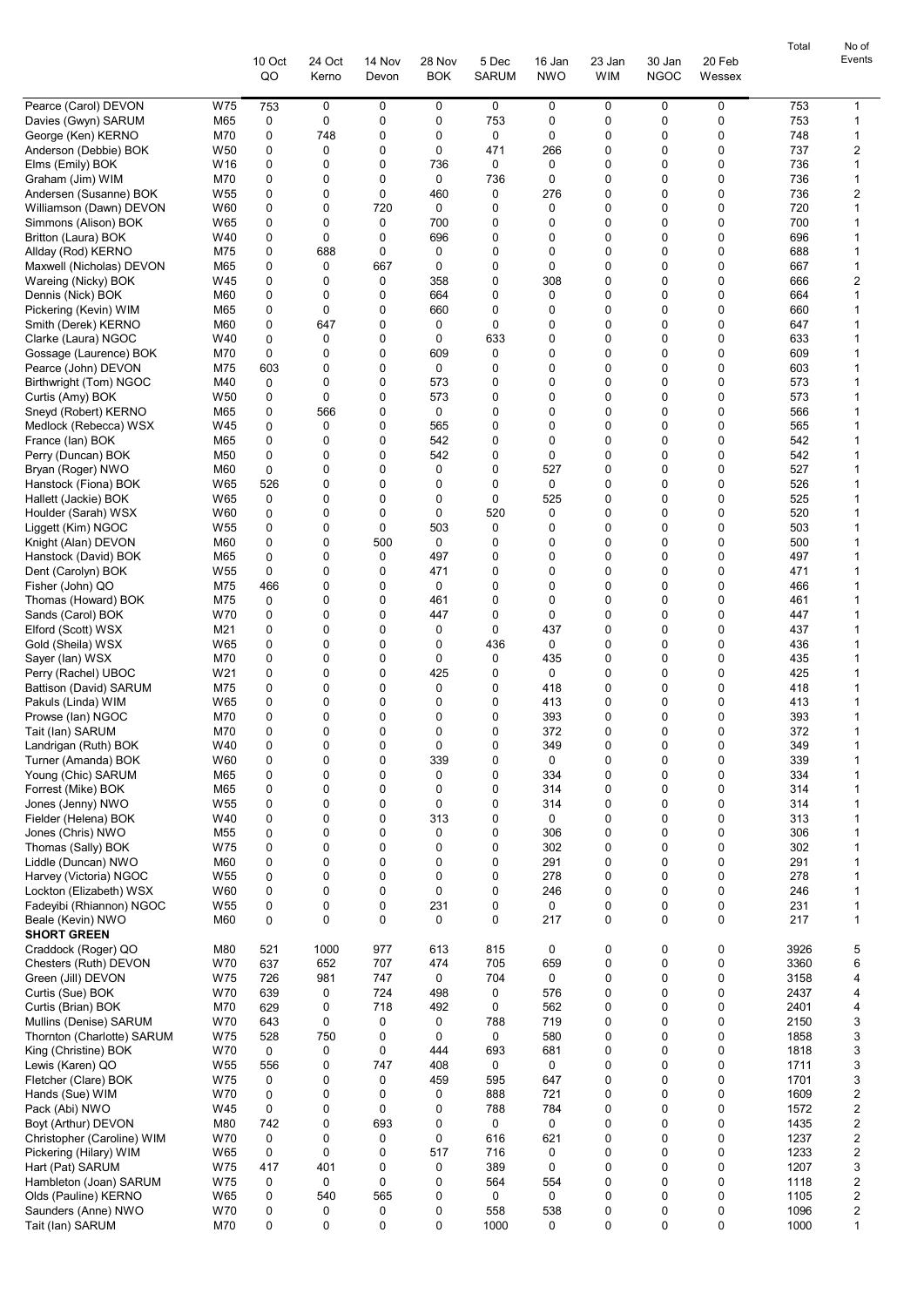|                                                                     |              |                  |                            |                      |                       |                      |                      |                       |                  | Total        | No of                        |
|---------------------------------------------------------------------|--------------|------------------|----------------------------|----------------------|-----------------------|----------------------|----------------------|-----------------------|------------------|--------------|------------------------------|
|                                                                     | 10 Oct<br>QO | 24 Oct<br>Kerno  | 14 Nov<br>Devon            | 28 Nov<br><b>BOK</b> | 5 Dec<br><b>SARUM</b> | 16 Jan<br><b>NWO</b> | 23 Jan<br><b>WIM</b> | 30 Jan<br><b>NGOC</b> | 20 Feb<br>Wessex |              | Events                       |
|                                                                     |              |                  |                            |                      |                       |                      |                      |                       |                  |              |                              |
| Pearce (Carol) DEVON<br>W75                                         | 753          | 0                | 0                          | 0                    | 0                     | 0                    | 0                    | 0                     | 0                | 753          | 1                            |
| M65<br>Davies (Gwyn) SARUM<br>George (Ken) KERNO<br>M70             | 0<br>0       | 0<br>748         | 0<br>0                     | 0<br>0               | 753<br>0              | 0<br>0               | 0<br>0               | 0<br>0                | 0<br>0           | 753<br>748   | 1<br>1                       |
| Anderson (Debbie) BOK<br>W <sub>50</sub>                            | 0            | 0                | 0                          | 0                    | 471                   | 266                  | 0                    | 0                     | 0                | 737          | 2                            |
| W16<br>Elms (Emily) BOK                                             | 0            | 0                | 0                          | 736                  | 0                     | 0                    | 0                    | 0                     | 0                | 736          | 1                            |
| Graham (Jim) WIM<br>M70                                             | 0            | 0                | $\mathbf 0$                | $\mathbf 0$          | 736                   | 0                    | 0                    | 0                     | 0                | 736          | 1                            |
| Andersen (Susanne) BOK<br>W <sub>55</sub>                           | 0            | 0                | 0                          | 460                  | 0                     | 276                  | 0                    | 0                     | 0                | 736          | 2                            |
| Williamson (Dawn) DEVON<br>W60                                      | 0            | 0                | 720                        | 0                    | 0<br>0                | 0<br>0               | 0<br>0               | 0<br>0                | 0                | 720          | 1<br>1                       |
| W65<br>Simmons (Alison) BOK<br>W40<br>Britton (Laura) BOK           | 0<br>0       | 0<br>0           | 0<br>0                     | 700<br>696           | 0                     | 0                    | 0                    | 0                     | 0<br>$\mathbf 0$ | 700<br>696   | 1                            |
| Allday (Rod) KERNO<br>M75                                           | 0            | 688              | 0                          | 0                    | 0                     | 0                    | 0                    | 0                     | 0                | 688          | 1                            |
| Maxwell (Nicholas) DEVON<br>M65                                     | 0            | 0                | 667                        | 0                    | 0                     | 0                    | 0                    | 0                     | 0                | 667          | 1                            |
| Wareing (Nicky) BOK<br>W45                                          | 0            | 0                | 0                          | 358                  | 0                     | 308                  | 0                    | 0                     | 0                | 666          | 2                            |
| M60<br>Dennis (Nick) BOK                                            | 0            | 0                | 0                          | 664                  | 0                     | 0                    | 0                    | $\Omega$              | 0                | 664          | 1                            |
| Pickering (Kevin) WIM<br>M65<br>M60                                 | 0<br>0       | 0<br>647         | 0<br>0                     | 660<br>0             | 0<br>0                | 0<br>0               | 0<br>0               | $\Omega$<br>0         | 0<br>0           | 660<br>647   | 1<br>1                       |
| Smith (Derek) KERNO<br>W40<br>Clarke (Laura) NGOC                   | 0            | 0                | 0                          | 0                    | 633                   | 0                    | 0                    | 0                     | 0                | 633          | 1                            |
| M70<br>Gossage (Laurence) BOK                                       | 0            | 0                | 0                          | 609                  | 0                     | 0                    | 0                    | 0                     | $\mathbf 0$      | 609          | 1                            |
| Pearce (John) DEVON<br>M75                                          | 603          | 0                | 0                          | 0                    | 0                     | 0                    | 0                    | 0                     | 0                | 603          | 1                            |
| Birthwright (Tom) NGOC<br>M40                                       | 0            | 0                | 0                          | 573                  | 0                     | 0                    | 0                    | 0                     | 0                | 573          | 1                            |
| W <sub>50</sub><br>Curtis (Amy) BOK                                 | 0            | $\mathbf 0$      | 0                          | 573                  | 0                     | 0                    | 0                    | 0                     | 0                | 573          | 1                            |
| Sneyd (Robert) KERNO<br>M65<br>W45<br>Medlock (Rebecca) WSX         | 0<br>0       | 566<br>0         | $\mathbf 0$<br>$\mathbf 0$ | $\mathbf 0$<br>565   | 0<br>0                | 0<br>0               | 0<br>0               | $\Omega$<br>$\Omega$  | 0<br>0           | 566<br>565   | 1<br>1                       |
| France (lan) BOK<br>M65                                             | 0            | 0                | 0                          | 542                  | 0                     | 0                    | 0                    | $\Omega$              | 0                | 542          | 1                            |
| Perry (Duncan) BOK<br>M50                                           | 0            | 0                | 0                          | 542                  | 0                     | 0                    | 0                    | 0                     | 0                | 542          | 1                            |
| M60<br>Bryan (Roger) NWO                                            | 0            | 0                | 0                          | 0                    | 0                     | 527                  | 0                    | 0                     | 0                | 527          | 1                            |
| W65<br>Hanstock (Fiona) BOK                                         | 526          | 0                | $\mathbf 0$                | 0                    | 0                     | 0                    | 0                    | 0                     | $\mathbf 0$      | 526          | 1                            |
| Hallett (Jackie) BOK<br>W65                                         | 0            | 0                | 0                          | 0                    | $\mathbf 0$           | 525                  | 0                    | 0                     | 0                | 525          | 1                            |
| Houlder (Sarah) WSX<br>W60<br>Liggett (Kim) NGOC<br>W <sub>55</sub> | 0<br>0       | 0<br>0           | 0<br>0                     | 0<br>503             | 520<br>0              | 0<br>0               | 0<br>0               | 0<br>0                | 0<br>0           | 520<br>503   | 1<br>1                       |
| Knight (Alan) DEVON<br>M60                                          | 0            | 0                | 500                        | 0                    | 0                     | 0                    | 0                    | $\Omega$              | 0                | 500          | 1                            |
| Hanstock (David) BOK<br>M65                                         | 0            | 0                | 0                          | 497                  | 0                     | 0                    | 0                    | 0                     | $\mathbf 0$      | 497          | 1                            |
| W <sub>55</sub><br>Dent (Carolyn) BOK                               | 0            | 0                | 0                          | 471                  | 0                     | 0                    | 0                    | 0                     | 0                | 471          | 1                            |
| M75<br>Fisher (John) QO                                             | 466          | 0                | 0                          | 0                    | 0                     | 0                    | 0                    | 0                     | 0                | 466          | 1                            |
| M75<br>Thomas (Howard) BOK                                          | 0            | 0                | 0                          | 461                  | 0                     | 0                    | 0                    | 0                     | 0                | 461          | 1                            |
| Sands (Carol) BOK<br>W70<br>Elford (Scott) WSX<br>M21               | 0<br>0       | 0<br>0           | 0<br>0                     | 447<br>0             | 0<br>0                | 0<br>437             | 0<br>0               | 0<br>0                | 0<br>0           | 447<br>437   | 1<br>1                       |
| Gold (Sheila) WSX<br>W65                                            | 0            | 0                | 0                          | 0                    | 436                   | 0                    | 0                    | 0                     | 0                | 436          | 1                            |
| M70<br>Sayer (lan) WSX                                              | 0            | $\mathbf 0$      | 0                          | $\mathbf 0$          | 0                     | 435                  | 0                    | 0                     | 0                | 435          | 1                            |
| Perry (Rachel) UBOC<br>W21                                          | 0            | 0                | 0                          | 425                  | 0                     | 0                    | 0                    | 0                     | 0                | 425          | 1                            |
| Battison (David) SARUM<br>M75                                       | 0            | 0                | 0                          | 0                    | 0                     | 418                  | 0                    | 0                     | 0                | 418          | 1                            |
| Pakuls (Linda) WIM<br>W65                                           | 0            | 0<br>$\mathbf 0$ | 0<br>0                     | 0                    | 0                     | 413                  | 0<br>0               | 0<br>0                | 0<br>$\mathbf 0$ | 413          | 1                            |
| M70<br>Prowse (lan) NGOC<br>Tait (lan) SARUM<br>M70                 | 0<br>U       | $\Omega$         | 0                          | 0<br>0               | 0<br>0                | 393<br>372           | <sup>0</sup>         | $\Omega$              | $\Omega$         | 393<br>372   | 1<br>1                       |
| Landrigan (Ruth) BOK<br>W40                                         | 0            | 0                | 0                          | 0                    | 0                     | 349                  | 0                    | 0                     | 0                | 349          | 1                            |
| Turner (Amanda) BOK<br>W60                                          | 0            | 0                | 0                          | 339                  | 0                     | 0                    | 0                    | 0                     | 0                | 339          | 1                            |
| Young (Chic) SARUM<br>M65                                           | 0            | 0                | $\mathbf 0$                | 0                    | 0                     | 334                  | 0                    | 0                     | 0                | 334          | 1                            |
| Forrest (Mike) BOK<br>M65                                           | 0            | 0                | 0                          | 0                    | 0                     | 314                  | 0                    | 0                     | 0                | 314          | 1                            |
| Jones (Jenny) NWO<br>W <sub>55</sub><br>W40                         | 0<br>0       | 0<br>0           | 0<br>0                     | 0<br>313             | 0<br>0                | 314<br>0             | 0<br>0               | 0<br>0                | 0<br>0           | 314<br>313   | 1<br>1                       |
| Fielder (Helena) BOK<br>Jones (Chris) NWO<br>M55                    | 0            | 0                | 0                          | 0                    | 0                     | 306                  | 0                    | 0                     | 0                | 306          | 1                            |
| W75<br>Thomas (Sally) BOK                                           | 0            | 0                | 0                          | 0                    | 0                     | 302                  | 0                    | 0                     | 0                | 302          | 1                            |
| Liddle (Duncan) NWO<br>M60                                          | 0            | 0                | 0                          | 0                    | 0                     | 291                  | 0                    | 0                     | 0                | 291          | 1                            |
| Harvey (Victoria) NGOC<br>W <sub>55</sub>                           | 0            | 0                | 0                          | 0                    | 0                     | 278                  | 0                    | 0                     | 0                | 278          | 1                            |
| Lockton (Elizabeth) WSX<br>W60                                      | 0            | 0                | 0<br>0                     | 0                    | 0                     | 246                  | 0                    | 0                     | 0<br>$\mathbf 0$ | 246          | 1                            |
| W55<br>Fadeyibi (Rhiannon) NGOC<br>Beale (Kevin) NWO<br>M60         | 0<br>0       | 0<br>0           | 0                          | 231<br>0             | 0<br>$\mathbf 0$      | 0<br>217             | 0<br>0               | 0<br>0                | 0                | 231<br>217   | 1<br>1                       |
| <b>SHORT GREEN</b>                                                  |              |                  |                            |                      |                       |                      |                      |                       |                  |              |                              |
| Craddock (Roger) QO<br>M80                                          | 521          | 1000             | 977                        | 613                  | 815                   | 0                    | 0                    | 0                     | 0                | 3926         | 5                            |
| Chesters (Ruth) DEVON<br>W70                                        | 637          | 652              | 707                        | 474                  | 705                   | 659                  | 0                    | 0                     | 0                | 3360         | 6                            |
| W75<br>Green (Jill) DEVON                                           | 726          | 981              | 747                        | 0                    | 704                   | 0                    | 0                    | 0                     | 0                | 3158         | 4                            |
| Curtis (Sue) BOK<br>W70<br>M70                                      | 639          | 0<br>0           | 724<br>718                 | 498                  | 0<br>0                | 576                  | 0<br>0               | 0<br>0                | 0<br>0           | 2437<br>2401 | 4                            |
| Curtis (Brian) BOK<br>W70<br>Mullins (Denise) SARUM                 | 629<br>643   | 0                | 0                          | 492<br>0             | 788                   | 562<br>719           | 0                    | 0                     | 0                | 2150         | 4<br>3                       |
| W75<br>Thornton (Charlotte) SARUM                                   | 528          | 750              | 0                          | 0                    | 0                     | 580                  | 0                    | 0                     | 0                | 1858         | 3                            |
| King (Christine) BOK<br>W70                                         | 0            | 0                | 0                          | 444                  | 693                   | 681                  | 0                    | 0                     | 0                | 1818         | 3                            |
| Lewis (Karen) QO<br>W55                                             | 556          | 0                | 747                        | 408                  | 0                     | 0                    | 0                    | 0                     | 0                | 1711         | 3                            |
| W75<br>Fletcher (Clare) BOK                                         | 0            | 0                | 0                          | 459                  | 595                   | 647                  | 0                    | 0                     | 0                | 1701         | 3                            |
| W70<br>Hands (Sue) WIM                                              | 0            | 0                | 0                          | 0                    | 888                   | 721                  | 0                    | 0                     | 0                | 1609         | 2                            |
| Pack (Abi) NWO<br>W45<br>M80<br>Boyt (Arthur) DEVON                 | 0<br>742     | 0<br>0           | 0<br>693                   | 0<br>0               | 788<br>0              | 784<br>0             | 0<br>0               | 0<br>0                | 0<br>0           | 1572<br>1435 | $\overline{\mathbf{c}}$<br>2 |
| W70<br>Christopher (Caroline) WIM                                   | 0            | 0                | 0                          | 0                    | 616                   | 621                  | 0                    | 0                     | 0                | 1237         | 2                            |
| Pickering (Hilary) WIM<br>W65                                       | 0            | 0                | 0                          | 517                  | 716                   | 0                    | 0                    | 0                     | 0                | 1233         | $\boldsymbol{2}$             |
| Hart (Pat) SARUM<br>W75                                             | 417          | 401              | 0                          | 0                    | 389                   | 0                    | 0                    | 0                     | 0                | 1207         | 3                            |
| W75<br>Hambleton (Joan) SARUM                                       | 0            | 0                | 0                          | 0                    | 564                   | 554                  | 0                    | 0                     | 0                | 1118         | 2                            |
| Olds (Pauline) KERNO<br>W65                                         | 0            | 540              | 565                        | 0                    | 0                     | 0                    | 0                    | 0                     | 0                | 1105         | 2                            |
| Saunders (Anne) NWO<br>W70<br>Tait (lan) SARUM<br>M70               | 0<br>0       | 0<br>0           | 0<br>0                     | 0<br>0               | 558<br>1000           | 538<br>0             | 0<br>0               | 0<br>0                | 0<br>0           | 1096<br>1000 | 2<br>$\mathbf{1}$            |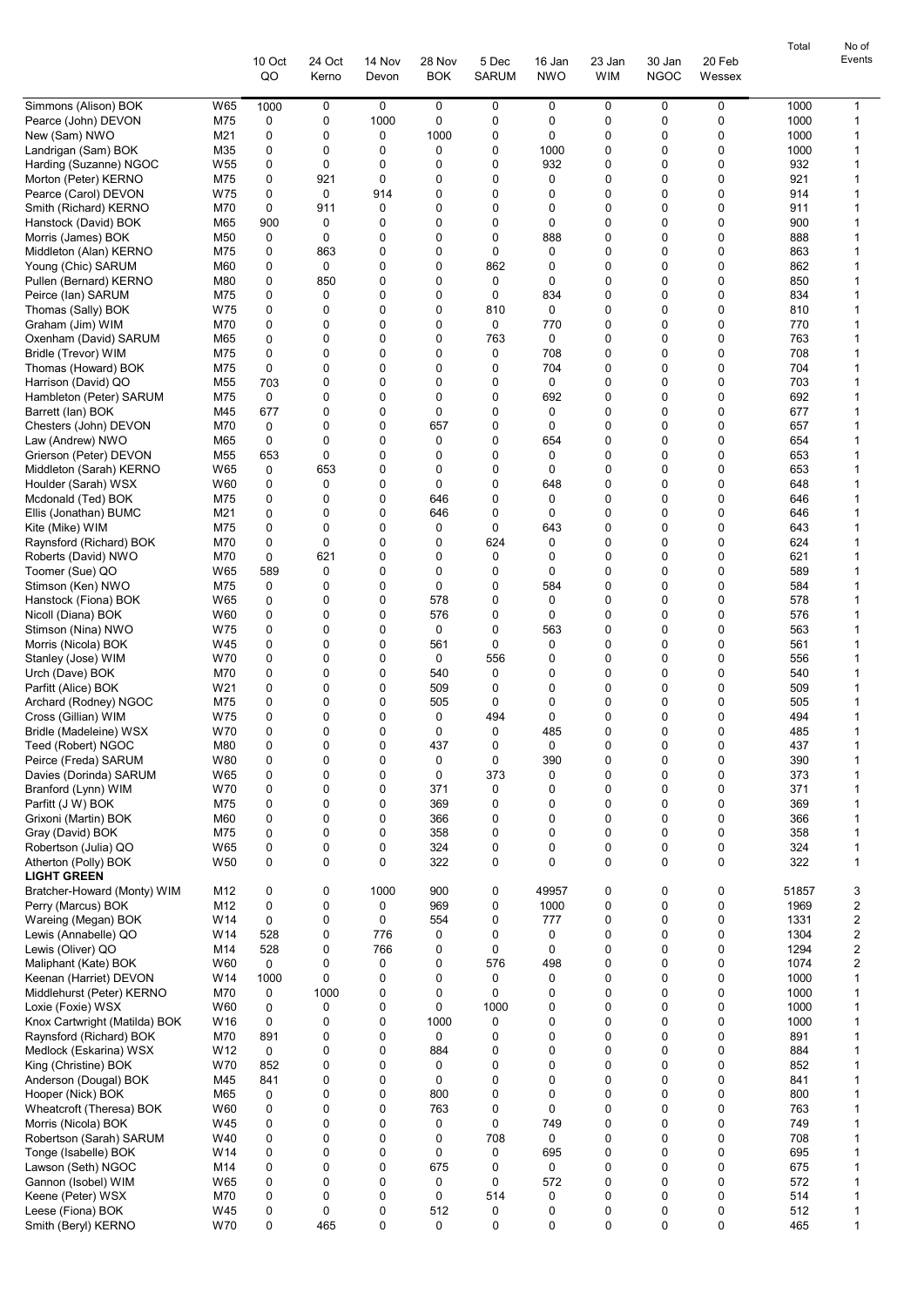|                                                          |                        |              |                 |                  |                      |                       |                      |                            |                       |                  | Total        | No of  |
|----------------------------------------------------------|------------------------|--------------|-----------------|------------------|----------------------|-----------------------|----------------------|----------------------------|-----------------------|------------------|--------------|--------|
|                                                          |                        | 10 Oct<br>QO | 24 Oct<br>Kerno | 14 Nov<br>Devon  | 28 Nov<br><b>BOK</b> | 5 Dec<br><b>SARUM</b> | 16 Jan<br><b>NWO</b> | 23 Jan<br><b>WIM</b>       | 30 Jan<br><b>NGOC</b> | 20 Feb<br>Wessex |              | Events |
|                                                          |                        |              |                 |                  |                      |                       |                      |                            |                       |                  |              |        |
| Simmons (Alison) BOK                                     | W65                    | 1000         | 0               | 0                | 0                    | 0                     | 0                    | 0                          | 0                     | 0                | 1000         | 1      |
| Pearce (John) DEVON<br>New (Sam) NWO                     | M75<br>M21             | 0<br>0       | 0<br>0          | 1000<br>0        | 0<br>1000            | 0<br>0                | 0<br>0               | 0<br>0                     | 0<br>0                | 0<br>0           | 1000<br>1000 | 1<br>1 |
| Landrigan (Sam) BOK                                      | M35                    | 0            | 0               | 0                | 0                    | 0                     | 1000                 | 0                          | 0                     | 0                | 1000         | 1      |
| Harding (Suzanne) NGOC                                   | W <sub>55</sub>        | 0            | 0               | 0                | 0                    | 0                     | 932                  | 0                          | 0                     | 0                | 932          | 1      |
| Morton (Peter) KERNO                                     | M75                    | 0            | 921             | 0                | 0                    | 0                     | 0                    | 0                          | 0                     | 0                | 921          | 1      |
| Pearce (Carol) DEVON                                     | W75                    | 0            | 0               | 914              | 0                    | 0                     | 0                    | 0                          | 0                     | 0                | 914          | 1      |
| Smith (Richard) KERNO<br>Hanstock (David) BOK            | M70<br>M65             | 0<br>900     | 911<br>0        | 0<br>0           | 0<br>0               | 0<br>0                | 0<br>0               | 0<br>0                     | 0<br>0                | 0<br>0           | 911<br>900   | 1<br>1 |
| Morris (James) BOK                                       | M50                    | 0            | 0               | 0                | 0                    | 0                     | 888                  | $\mathbf 0$                | 0                     | 0                | 888          | 1      |
| Middleton (Alan) KERNO                                   | M75                    | 0            | 863             | 0                | 0                    | 0                     | 0                    | 0                          | 0                     | 0                | 863          | 1      |
| Young (Chic) SARUM                                       | M60                    | 0            | 0               | 0                | 0                    | 862                   | 0                    | 0                          | 0                     | 0                | 862          | 1      |
| Pullen (Bernard) KERNO                                   | M80                    | 0            | 850             | 0                | 0                    | 0                     | 0                    | 0                          | 0                     | 0                | 850          | 1      |
| Peirce (lan) SARUM                                       | M75<br>W75             | 0<br>0       | 0<br>0          | $\mathbf 0$<br>0 | 0<br>0               | 0<br>810              | 834<br>0             | $\mathbf 0$<br>$\mathbf 0$ | 0<br>0                | 0<br>$\mathbf 0$ | 834<br>810   | 1<br>1 |
| Thomas (Sally) BOK<br>Graham (Jim) WIM                   | M70                    | 0            | 0               | 0                | 0                    | 0                     | 770                  | 0                          | 0                     | 0                | 770          | 1      |
| Oxenham (David) SARUM                                    | M65                    | 0            | 0               | 0                | 0                    | 763                   | 0                    | 0                          | 0                     | 0                | 763          | 1      |
| Bridle (Trevor) WIM                                      | M75                    | 0            | 0               | $\mathbf 0$      | 0                    | 0                     | 708                  | 0                          | 0                     | 0                | 708          | 1      |
| Thomas (Howard) BOK                                      | M75                    | 0            | 0               | 0                | 0                    | 0                     | 704                  | $\mathbf 0$                | 0                     | 0                | 704          | 1      |
| Harrison (David) QO                                      | M55                    | 703          | 0               | 0                | 0                    | 0                     | 0                    | 0                          | 0                     | 0                | 703          | 1      |
| Hambleton (Peter) SARUM<br>Barrett (lan) BOK             | M75<br>M45             | 0<br>677     | 0<br>0          | 0<br>0           | 0<br>0               | 0<br>0                | 692<br>0             | 0<br>0                     | 0<br>0                | 0<br>0           | 692<br>677   | 1<br>1 |
| Chesters (John) DEVON                                    | M70                    | 0            | 0               | $\mathbf 0$      | 657                  | 0                     | 0                    | $\mathbf 0$                | 0                     | $\mathbf 0$      | 657          | 1      |
| Law (Andrew) NWO                                         | M65                    | 0            | 0               | 0                | 0                    | 0                     | 654                  | $\mathbf 0$                | 0                     | $\mathbf 0$      | 654          | 1      |
| Grierson (Peter) DEVON                                   | M <sub>55</sub>        | 653          | 0               | 0                | 0                    | 0                     | 0                    | 0                          | 0                     | 0                | 653          | 1      |
| Middleton (Sarah) KERNO                                  | W65                    | 0            | 653             | 0                | 0                    | 0                     | 0                    | 0                          | 0                     | 0                | 653          | 1      |
| Houlder (Sarah) WSX<br>Mcdonald (Ted) BOK                | W60<br>M75             | 0<br>0       | 0<br>0          | 0<br>0           | $\mathbf 0$<br>646   | 0<br>0                | 648<br>0             | 0<br>$\mathbf 0$           | 0<br>0                | 0<br>0           | 648<br>646   | 1<br>1 |
| Ellis (Jonathan) BUMC                                    | M21                    | 0            | 0               | 0                | 646                  | 0                     | 0                    | 0                          | 0                     | 0                | 646          | 1      |
| Kite (Mike) WIM                                          | M75                    | 0            | 0               | 0                | 0                    | 0                     | 643                  | 0                          | 0                     | 0                | 643          | 1      |
| Raynsford (Richard) BOK                                  | M70                    | 0            | 0               | $\mathbf 0$      | 0                    | 624                   | 0                    | 0                          | 0                     | 0                | 624          | 1      |
| Roberts (David) NWO                                      | M70                    | 0            | 621             | 0                | 0                    | 0                     | 0                    | 0                          | 0                     | 0                | 621          | 1      |
| Toomer (Sue) QO                                          | W65                    | 589          | 0               | 0                | 0                    | 0                     | 0                    | 0                          | 0                     | 0                | 589          | 1<br>1 |
| Stimson (Ken) NWO<br>Hanstock (Fiona) BOK                | M75<br>W65             | 0<br>0       | 0<br>0          | 0<br>0           | 0<br>578             | 0<br>0                | 584<br>0             | 0<br>$\mathbf 0$           | 0<br>0                | 0<br>0           | 584<br>578   | 1      |
| Nicoll (Diana) BOK                                       | W60                    | 0            | 0               | 0                | 576                  | 0                     | 0                    | 0                          | 0                     | 0                | 576          | 1      |
| Stimson (Nina) NWO                                       | W75                    | 0            | 0               | 0                | 0                    | 0                     | 563                  | 0                          | 0                     | 0                | 563          | 1      |
| Morris (Nicola) BOK                                      | W45                    | 0            | 0               | 0                | 561                  | 0                     | 0                    | 0                          | 0                     | 0                | 561          | 1      |
| Stanley (Jose) WIM                                       | W70                    | 0            | 0               | $\mathbf 0$      | 0                    | 556                   | 0                    | $\mathbf 0$                | 0                     | 0                | 556          | 1      |
| Urch (Dave) BOK<br>Parfitt (Alice) BOK                   | M70<br>W21             | 0<br>0       | 0<br>0          | 0<br>0           | 540<br>509           | 0<br>0                | 0<br>0               | $\mathbf 0$<br>0           | 0<br>0                | $\mathbf 0$<br>0 | 540<br>509   | 1<br>1 |
| Archard (Rodney) NGOC                                    | M75                    | 0            | 0               | 0                | 505                  | 0                     | 0                    | 0                          | 0                     | 0                | 505          | 1      |
| Cross (Gillian) WIM                                      | W75                    | 0            | 0               | 0                | 0                    | 494                   | 0                    | $\mathbf 0$                | 0                     | 0                | 494          | 1      |
| Bridle (Madeleine) WSX                                   | W70                    | $\Omega$     | $\Omega$        | 0                | $\Omega$             | 0                     | 485                  | $\Omega$                   | U                     | $\Omega$         | 485          | 1      |
| Teed (Robert) NGOC                                       | M80                    | 0            | 0               | 0                | 437                  | 0                     | 0                    | 0                          | 0                     | 0                | 437          | 1      |
| Peirce (Freda) SARUM<br>Davies (Dorinda) SARUM           | W80<br>W65             | 0<br>0       | 0<br>0          | 0<br>0           | 0<br>$\mathbf 0$     | 0<br>373              | 390<br>0             | 0<br>$\mathbf 0$           | 0<br>0                | 0<br>0           | 390<br>373   | 1<br>1 |
| Branford (Lynn) WIM                                      | W70                    | 0            | 0               | 0                | 371                  | 0                     | 0                    | 0                          | 0                     | 0                | 371          | 1      |
| Parfitt (J W) BOK                                        | M75                    | 0            | 0               | 0                | 369                  | 0                     | 0                    | 0                          | 0                     | 0                | 369          | 1      |
| Grixoni (Martin) BOK                                     | M60                    | 0            | 0               | 0                | 366                  | 0                     | 0                    | 0                          | 0                     | 0                | 366          | 1      |
| Gray (David) BOK                                         | M75                    | 0            | 0               | 0                | 358                  | 0                     | 0                    | 0                          | 0                     | 0                | 358          | 1      |
| Robertson (Julia) QO<br>Atherton (Polly) BOK             | W65<br>W <sub>50</sub> | 0<br>0       | 0<br>0          | 0<br>0           | 324<br>322           | 0<br>0                | 0<br>0               | 0<br>$\mathbf 0$           | 0<br>0                | 0<br>0           | 324<br>322   | 1<br>1 |
| <b>LIGHT GREEN</b>                                       |                        |              |                 |                  |                      |                       |                      |                            |                       |                  |              |        |
| Bratcher-Howard (Monty) WIM                              | M12                    | 0            | 0               | 1000             | 900                  | 0                     | 49957                | 0                          | 0                     | 0                | 51857        | 3      |
| Perry (Marcus) BOK                                       | M12                    | 0            | 0               | 0                | 969                  | 0                     | 1000                 | 0                          | 0                     | 0                | 1969         | 2      |
| Wareing (Megan) BOK                                      | W14                    | 0            | 0               | 0                | 554                  | 0                     | 777                  | 0                          | 0                     | 0                | 1331         | 2      |
| Lewis (Annabelle) QO<br>Lewis (Oliver) QO                | W14<br>M14             | 528<br>528   | 0<br>0          | 776<br>766       | 0<br>0               | 0<br>0                | 0<br>0               | 0<br>0                     | 0<br>0                | 0<br>0           | 1304<br>1294 | 2<br>2 |
| Maliphant (Kate) BOK                                     | W60                    | 0            | 0               | 0                | 0                    | 576                   | 498                  | 0                          | 0                     | 0                | 1074         | 2      |
| Keenan (Harriet) DEVON                                   | W14                    | 1000         | 0               | 0                | 0                    | 0                     | 0                    | $\mathbf 0$                | 0                     | 0                | 1000         | 1      |
| Middlehurst (Peter) KERNO                                | M70                    | 0            | 1000            | 0                | 0                    | 0                     | 0                    | $\mathbf 0$                | 0                     | 0                | 1000         | 1      |
| Loxie (Foxie) WSX                                        | W60                    | 0            | 0               | 0                | 0                    | 1000                  | 0                    | 0                          | 0                     | 0                | 1000         | 1      |
| Knox Cartwright (Matilda) BOK<br>Raynsford (Richard) BOK | W16<br>M70             | 0<br>891     | 0<br>0          | 0<br>0           | 1000<br>0            | 0<br>0                | 0<br>0               | 0<br>$\mathbf 0$           | 0<br>0                | 0<br>$\mathbf 0$ | 1000<br>891  | 1<br>1 |
| Medlock (Eskarina) WSX                                   | W <sub>12</sub>        | 0            | 0               | 0                | 884                  | 0                     | 0                    | 0                          | 0                     | 0                | 884          | 1      |
| King (Christine) BOK                                     | W70                    | 852          | 0               | 0                | 0                    | 0                     | 0                    | 0                          | 0                     | 0                | 852          | 1      |
| Anderson (Dougal) BOK                                    | M45                    | 841          | 0               | 0                | 0                    | 0                     | 0                    | 0                          | 0                     | 0                | 841          | 1      |
| Hooper (Nick) BOK                                        | M65                    | 0            | 0               | 0                | 800                  | 0                     | 0                    | 0                          | 0                     | 0                | 800          | 1      |
| Wheatcroft (Theresa) BOK                                 | W60                    | 0            | 0               | 0<br>0           | 763                  | 0<br>0                | 0                    | $\mathbf 0$                | 0<br>0                | 0                | 763          | 1<br>1 |
| Morris (Nicola) BOK<br>Robertson (Sarah) SARUM           | W45<br>W40             | 0<br>0       | 0<br>0          | 0                | 0<br>0               | 708                   | 749<br>0             | 0<br>0                     | 0                     | 0<br>$\mathbf 0$ | 749<br>708   | 1      |
| Tonge (Isabelle) BOK                                     | W14                    | 0            | 0               | 0                | 0                    | 0                     | 695                  | 0                          | 0                     | 0                | 695          | 1      |
| Lawson (Seth) NGOC                                       | M14                    | 0            | 0               | 0                | 675                  | 0                     | 0                    | 0                          | 0                     | 0                | 675          | 1      |
| Gannon (Isobel) WIM                                      | W65                    | 0            | 0               | 0                | 0                    | 0                     | 572                  | 0                          | 0                     | 0                | 572          | 1      |
| Keene (Peter) WSX                                        | M70                    | 0            | 0               | 0                | $\mathbf 0$          | 514                   | 0                    | $\mathbf 0$                | 0                     | 0                | 514          | 1      |
| Leese (Fiona) BOK<br>Smith (Beryl) KERNO                 | W45<br>W70             | 0<br>0       | 0<br>465        | 0<br>0           | 512<br>0             | 0<br>0                | 0<br>0               | 0<br>0                     | 0<br>0                | 0<br>0           | 512<br>465   | 1<br>1 |